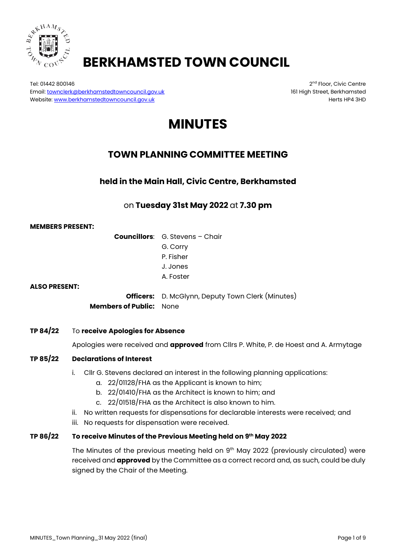

# **BERKHAMSTED TOWN COUNCIL**

Tel: 01442 800146 2nd Floor, Civic Centre 2nd Floor, Civic Centre 2nd Floor, Civic Centre Email: <u>townclerk@berkhamstedtowncouncil.gov.uk</u> 161 High Street, Berkhamsted<br>Website: www.berkhamstedtowncouncil.gov.uk 161 High Street, Berkhamstedtowncouncil.gov.uk Website[: www.berkhamstedtowncouncil.gov.uk](http://www.berkhamstedtowncouncil.gov.uk/)

# **MINUTES**

# **TOWN PLANNING COMMITTEE MEETING**

**held in the Main Hall, Civic Centre, Berkhamsted**

# on **Tuesday 31st May 2022** at **7.30 pm**

#### **MEMBERS PRESENT:**

**Councillors**: G. Stevens – Chair G. Corry P. Fisher J. Jones A. Foster

#### **ALSO PRESENT:**

**Officers:** D. McGlynn, Deputy Town Clerk (Minutes) **Members of Public:** None

#### **TP 84/22** To **receive Apologies for Absence**

Apologies were received and **approved** from Cllrs P. White, P. de Hoest and A. Armytage

# **TP 85/22 Declarations of Interest**

- i. Cllr G. Stevens declared an interest in the following planning applications:
	- a. 22/01128/FHA as the Applicant is known to him;
	- b. 22/01410/FHA as the Architect is known to him; and
	- c. 22/01518/FHA as the Architect is also known to him.
- ii. No written requests for dispensations for declarable interests were received; and
- iii. No requests for dispensation were received.

#### **TP 86/22 To receive Minutes of the Previous Meeting held on 9th May 2022**

The Minutes of the previous meeting held on  $9<sup>th</sup>$  May 2022 (previously circulated) were received and **approved** by the Committee as a correct record and, as such, could be duly signed by the Chair of the Meeting.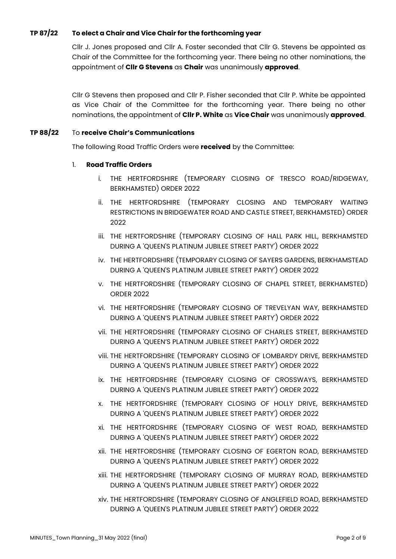# **TP 87/22 To elect a Chair and Vice Chair for the forthcoming year**

Cllr J. Jones proposed and Cllr A. Foster seconded that Cllr G. Stevens be appointed as Chair of the Committee for the forthcoming year. There being no other nominations, the appointment of **Cllr G Stevens** as **Chair** was unanimously **approved**.

Cllr G Stevens then proposed and Cllr P. Fisher seconded that Cllr P. White be appointed as Vice Chair of the Committee for the forthcoming year. There being no other nominations, the appointment of **Cllr P. White** as **Vice Chair** was unanimously **approved**.

#### **TP 88/22** To **receive Chair's Communications**

The following Road Traffic Orders were **received** by the Committee:

#### 1. **Road Traffic Orders**

- i. THE HERTFORDSHIRE (TEMPORARY CLOSING OF TRESCO ROAD/RIDGEWAY, BERKHAMSTED) ORDER 2022
- ii. THE HERTFORDSHIRE (TEMPORARY CLOSING AND TEMPORARY WAITING RESTRICTIONS IN BRIDGEWATER ROAD AND CASTLE STREET, BERKHAMSTED) ORDER 2022
- iii. THE HERTFORDSHIRE (TEMPORARY CLOSING OF HALL PARK HILL, BERKHAMSTED DURING A 'QUEEN'S PLATINUM JUBILEE STREET PARTY') ORDER 2022
- iv. THE HERTFORDSHIRE (TEMPORARY CLOSING OF SAYERS GARDENS, BERKHAMSTEAD DURING A 'QUEEN'S PLATINUM JUBILEE STREET PARTY') ORDER 2022
- v. THE HERTFORDSHIRE (TEMPORARY CLOSING OF CHAPEL STREET, BERKHAMSTED) ORDER 2022
- vi. THE HERTFORDSHIRE (TEMPORARY CLOSING OF TREVELYAN WAY, BERKHAMSTED DURING A 'QUEEN'S PLATINUM JUBILEE STREET PARTY') ORDER 2022
- vii. THE HERTFORDSHIRE (TEMPORARY CLOSING OF CHARLES STREET, BERKHAMSTED DURING A 'QUEEN'S PLATINUM JUBILEE STREET PARTY') ORDER 2022
- viii. THE HERTFORDSHIRE (TEMPORARY CLOSING OF LOMBARDY DRIVE, BERKHAMSTED DURING A 'QUEEN'S PLATINUM JUBILEE STREET PARTY') ORDER 2022
- ix. THE HERTFORDSHIRE (TEMPORARY CLOSING OF CROSSWAYS, BERKHAMSTED DURING A 'QUEEN'S PLATINUM JUBILEE STREET PARTY') ORDER 2022
- x. THE HERTFORDSHIRE (TEMPORARY CLOSING OF HOLLY DRIVE, BERKHAMSTED DURING A 'QUEEN'S PLATINUM JUBILEE STREET PARTY') ORDER 2022
- xi. THE HERTFORDSHIRE (TEMPORARY CLOSING OF WEST ROAD, BERKHAMSTED DURING A 'QUEEN'S PLATINUM JUBILEE STREET PARTY') ORDER 2022
- xii. THE HERTFORDSHIRE (TEMPORARY CLOSING OF EGERTON ROAD, BERKHAMSTED DURING A 'QUEEN'S PLATINUM JUBILEE STREET PARTY') ORDER 2022
- xiii. THE HERTFORDSHIRE (TEMPORARY CLOSING OF MURRAY ROAD, BERKHAMSTED DURING A 'QUEEN'S PLATINUM JUBILEE STREET PARTY') ORDER 2022
- xiv. THE HERTFORDSHIRE (TEMPORARY CLOSING OF ANGLEFIELD ROAD, BERKHAMSTED DURING A 'QUEEN'S PLATINUM JUBILEE STREET PARTY') ORDER 2022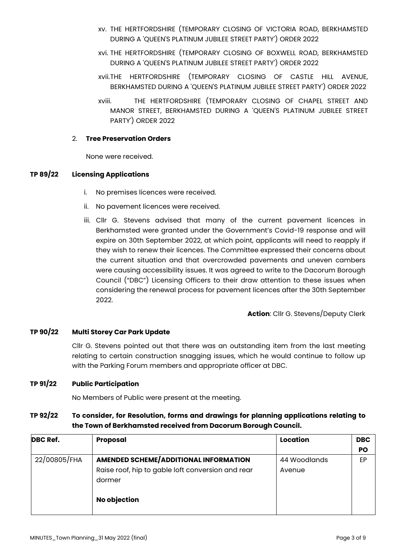- xv. THE HERTFORDSHIRE (TEMPORARY CLOSING OF VICTORIA ROAD, BERKHAMSTED DURING A 'QUEEN'S PLATINUM JUBILEE STREET PARTY') ORDER 2022
- xvi. THE HERTFORDSHIRE (TEMPORARY CLOSING OF BOXWELL ROAD, BERKHAMSTED DURING A 'QUEEN'S PLATINUM JUBILEE STREET PARTY') ORDER 2022
- xvii.THE HERTFORDSHIRE (TEMPORARY CLOSING OF CASTLE HILL AVENUE, BERKHAMSTED DURING A 'QUEEN'S PLATINUM JUBILEE STREET PARTY') ORDER 2022
- xviii. THE HERTFORDSHIRE (TEMPORARY CLOSING OF CHAPEL STREET AND MANOR STREET, BERKHAMSTED DURING A 'QUEEN'S PLATINUM JUBILEE STREET PARTY') ORDER 2022

#### 2. **Tree Preservation Orders**

None were received.

# **TP 89/22 Licensing Applications**

- i. No premises licences were received.
- ii. No pavement licences were received.
- iii. Cllr G. Stevens advised that many of the current pavement licences in Berkhamsted were granted under the Government's Covid-19 response and will expire on 30th September 2022, at which point, applicants will need to reapply if they wish to renew their licences. The Committee expressed their concerns about the current situation and that overcrowded pavements and uneven cambers were causing accessibility issues. It was agreed to write to the Dacorum Borough Council ("DBC") Licensing Officers to their draw attention to these issues when considering the renewal process for pavement licences after the 30th September 2022.

**Action**: Cllr G. Stevens/Deputy Clerk

# **TP 90/22 Multi Storey Car Park Update**

Cllr G. Stevens pointed out that there was an outstanding item from the last meeting relating to certain construction snagging issues, which he would continue to follow up with the Parking Forum members and appropriate officer at DBC.

#### **TP 91/22 Public Participation**

No Members of Public were present at the meeting.

# **TP 92/22 To consider, for Resolution, forms and drawings for planning applications relating to the Town of Berkhamsted received from Dacorum Borough Council.**

| <b>DBC Ref.</b> | Proposal                                                    | Location     | <b>DBC</b> |
|-----------------|-------------------------------------------------------------|--------------|------------|
|                 |                                                             |              | PO         |
| 22/00805/FHA    | <b>AMENDED SCHEME/ADDITIONAL INFORMATION</b>                | 44 Woodlands | EP         |
|                 | Raise roof, hip to gable loft conversion and rear<br>dormer | Avenue       |            |
|                 | No objection                                                |              |            |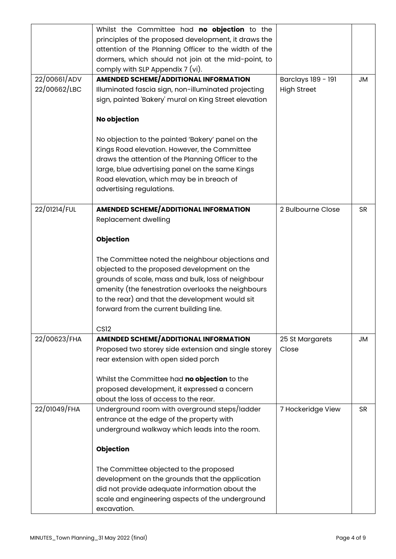|              | Whilst the Committee had no objection to the<br>principles of the proposed development, it draws the |                    |           |
|--------------|------------------------------------------------------------------------------------------------------|--------------------|-----------|
|              | attention of the Planning Officer to the width of the                                                |                    |           |
|              | dormers, which should not join at the mid-point, to                                                  |                    |           |
|              | comply with SLP Appendix 7 (vi).                                                                     |                    |           |
| 22/00661/ADV | <b>AMENDED SCHEME/ADDITIONAL INFORMATION</b>                                                         | Barclays 189 - 191 | JM        |
| 22/00662/LBC | Illuminated fascia sign, non-illuminated projecting                                                  | <b>High Street</b> |           |
|              | sign, painted 'Bakery' mural on King Street elevation                                                |                    |           |
|              | <b>No objection</b>                                                                                  |                    |           |
|              | No objection to the painted 'Bakery' panel on the                                                    |                    |           |
|              | Kings Road elevation. However, the Committee                                                         |                    |           |
|              | draws the attention of the Planning Officer to the                                                   |                    |           |
|              | large, blue advertising panel on the same Kings                                                      |                    |           |
|              | Road elevation, which may be in breach of                                                            |                    |           |
|              | advertising regulations.                                                                             |                    |           |
| 22/01214/FUL | <b>AMENDED SCHEME/ADDITIONAL INFORMATION</b>                                                         | 2 Bulbourne Close  | <b>SR</b> |
|              | Replacement dwelling                                                                                 |                    |           |
|              |                                                                                                      |                    |           |
|              | <b>Objection</b>                                                                                     |                    |           |
|              | The Committee noted the neighbour objections and                                                     |                    |           |
|              | objected to the proposed development on the                                                          |                    |           |
|              | grounds of scale, mass and bulk, loss of neighbour                                                   |                    |           |
|              | amenity (the fenestration overlooks the neighbours                                                   |                    |           |
|              | to the rear) and that the development would sit                                                      |                    |           |
|              | forward from the current building line.                                                              |                    |           |
|              | <b>CS12</b>                                                                                          |                    |           |
| 22/00623/FHA | <b>AMENDED SCHEME/ADDITIONAL INFORMATION</b>                                                         | 25 St Margarets    | JM        |
|              | Proposed two storey side extension and single storey                                                 | Close              |           |
|              | rear extension with open sided porch                                                                 |                    |           |
|              | Whilst the Committee had no objection to the                                                         |                    |           |
|              | proposed development, it expressed a concern                                                         |                    |           |
|              | about the loss of access to the rear.                                                                |                    |           |
| 22/01049/FHA | Underground room with overground steps/ladder                                                        | 7 Hockeridge View  | <b>SR</b> |
|              | entrance at the edge of the property with                                                            |                    |           |
|              | underground walkway which leads into the room.                                                       |                    |           |
|              | <b>Objection</b>                                                                                     |                    |           |
|              | The Committee objected to the proposed                                                               |                    |           |
|              | development on the grounds that the application                                                      |                    |           |
|              | did not provide adequate information about the                                                       |                    |           |
|              | scale and engineering aspects of the underground                                                     |                    |           |
|              | excavation.                                                                                          |                    |           |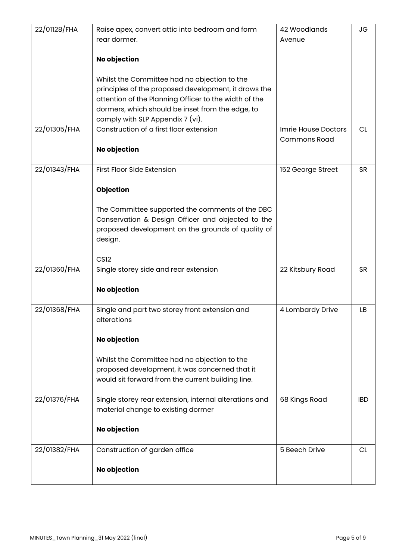| 22/01128/FHA | Raise apex, convert attic into bedroom and form        | 42 Woodlands        | <b>JG</b>  |
|--------------|--------------------------------------------------------|---------------------|------------|
|              | rear dormer.                                           | Avenue              |            |
|              |                                                        |                     |            |
|              | <b>No objection</b>                                    |                     |            |
|              |                                                        |                     |            |
|              | Whilst the Committee had no objection to the           |                     |            |
|              | principles of the proposed development, it draws the   |                     |            |
|              | attention of the Planning Officer to the width of the  |                     |            |
|              | dormers, which should be inset from the edge, to       |                     |            |
|              | comply with SLP Appendix 7 (vi).                       |                     |            |
| 22/01305/FHA | Construction of a first floor extension                | Imrie House Doctors | <b>CL</b>  |
|              |                                                        | <b>Commons Road</b> |            |
|              | No objection                                           |                     |            |
|              |                                                        |                     |            |
| 22/01343/FHA | First Floor Side Extension                             | 152 George Street   | <b>SR</b>  |
|              |                                                        |                     |            |
|              | <b>Objection</b>                                       |                     |            |
|              |                                                        |                     |            |
|              | The Committee supported the comments of the DBC        |                     |            |
|              | Conservation & Design Officer and objected to the      |                     |            |
|              | proposed development on the grounds of quality of      |                     |            |
|              | design.                                                |                     |            |
|              |                                                        |                     |            |
|              | CS <sub>12</sub>                                       |                     |            |
| 22/01360/FHA | Single storey side and rear extension                  | 22 Kitsbury Road    | <b>SR</b>  |
|              |                                                        |                     |            |
|              | No objection                                           |                     |            |
|              |                                                        |                     |            |
| 22/01368/FHA | Single and part two storey front extension and         | 4 Lombardy Drive    | LB         |
|              | alterations                                            |                     |            |
|              |                                                        |                     |            |
|              | No objection                                           |                     |            |
|              |                                                        |                     |            |
|              | Whilst the Committee had no objection to the           |                     |            |
|              | proposed development, it was concerned that it         |                     |            |
|              | would sit forward from the current building line.      |                     |            |
|              |                                                        |                     |            |
| 22/01376/FHA | Single storey rear extension, internal alterations and | 68 Kings Road       | <b>IBD</b> |
|              | material change to existing dormer                     |                     |            |
|              |                                                        |                     |            |
|              | <b>No objection</b>                                    |                     |            |
|              |                                                        |                     |            |
| 22/01382/FHA | Construction of garden office                          | 5 Beech Drive       | <b>CL</b>  |
|              |                                                        |                     |            |
|              | <b>No objection</b>                                    |                     |            |
|              |                                                        |                     |            |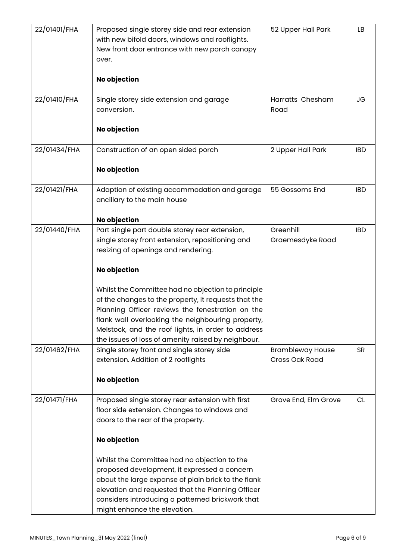| 22/01401/FHA | Proposed single storey side and rear extension<br>with new bifold doors, windows and rooflights.<br>New front door entrance with new porch canopy<br>over.<br>No objection                                                                                                                                                                                                                                                                                                                          | 52 Upper Hall Park                        | LB         |
|--------------|-----------------------------------------------------------------------------------------------------------------------------------------------------------------------------------------------------------------------------------------------------------------------------------------------------------------------------------------------------------------------------------------------------------------------------------------------------------------------------------------------------|-------------------------------------------|------------|
| 22/01410/FHA | Single storey side extension and garage<br>conversion.<br>No objection                                                                                                                                                                                                                                                                                                                                                                                                                              | Harratts Chesham<br>Road                  | <b>JG</b>  |
| 22/01434/FHA | Construction of an open sided porch<br>No objection                                                                                                                                                                                                                                                                                                                                                                                                                                                 | 2 Upper Hall Park                         | <b>IBD</b> |
| 22/01421/FHA | Adaption of existing accommodation and garage<br>ancillary to the main house<br>No objection                                                                                                                                                                                                                                                                                                                                                                                                        | 55 Gossoms End                            | <b>IBD</b> |
| 22/01440/FHA | Part single part double storey rear extension,<br>single storey front extension, repositioning and<br>resizing of openings and rendering.<br><b>No objection</b><br>Whilst the Committee had no objection to principle<br>of the changes to the property, it requests that the<br>Planning Officer reviews the fenestration on the<br>flank wall overlooking the neighbouring property,<br>Melstock, and the roof lights, in order to address<br>the issues of loss of amenity raised by neighbour. | Greenhill<br>Graemesdyke Road             | <b>IBD</b> |
| 22/01462/FHA | Single storey front and single storey side<br>extension. Addition of 2 rooflights<br><b>No objection</b>                                                                                                                                                                                                                                                                                                                                                                                            | <b>Brambleway House</b><br>Cross Oak Road | <b>SR</b>  |
| 22/01471/FHA | Proposed single storey rear extension with first<br>floor side extension. Changes to windows and<br>doors to the rear of the property.<br><b>No objection</b><br>Whilst the Committee had no objection to the<br>proposed development, it expressed a concern<br>about the large expanse of plain brick to the flank<br>elevation and requested that the Planning Officer<br>considers introducing a patterned brickwork that<br>might enhance the elevation.                                       | Grove End, Elm Grove                      | CL         |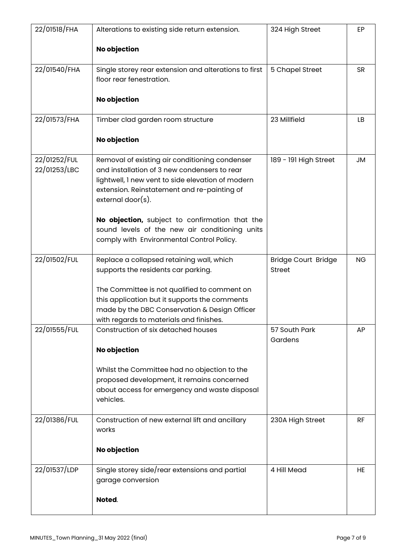| 22/01518/FHA                 | Alterations to existing side return extension.                                                                                                                                                                             | 324 High Street                             | EP        |
|------------------------------|----------------------------------------------------------------------------------------------------------------------------------------------------------------------------------------------------------------------------|---------------------------------------------|-----------|
|                              | <b>No objection</b>                                                                                                                                                                                                        |                                             |           |
| 22/01540/FHA                 | Single storey rear extension and alterations to first<br>floor rear fenestration.                                                                                                                                          | 5 Chapel Street                             | <b>SR</b> |
|                              | <b>No objection</b>                                                                                                                                                                                                        |                                             |           |
| 22/01573/FHA                 | Timber clad garden room structure                                                                                                                                                                                          | 23 Millfield                                | LB        |
|                              | <b>No objection</b>                                                                                                                                                                                                        |                                             |           |
| 22/01252/FUL<br>22/01253/LBC | Removal of existing air conditioning condenser<br>and installation of 3 new condensers to rear<br>lightwell, I new vent to side elevation of modern<br>extension. Reinstatement and re-painting of<br>$external door(s)$ . | 189 - 191 High Street                       | <b>JM</b> |
|                              | No objection, subject to confirmation that the<br>sound levels of the new air conditioning units<br>comply with Environmental Control Policy.                                                                              |                                             |           |
| 22/01502/FUL                 | Replace a collapsed retaining wall, which<br>supports the residents car parking.                                                                                                                                           | <b>Bridge Court Bridge</b><br><b>Street</b> | <b>NG</b> |
|                              | The Committee is not qualified to comment on                                                                                                                                                                               |                                             |           |
|                              | this application but it supports the comments<br>made by the DBC Conservation & Design Officer                                                                                                                             |                                             |           |
|                              | with regards to materials and finishes.                                                                                                                                                                                    |                                             |           |
| 22/01555/FUL                 | Construction of six detached houses                                                                                                                                                                                        | 57 South Park<br>Gardens                    | AP        |
|                              | <b>No objection</b>                                                                                                                                                                                                        |                                             |           |
|                              | Whilst the Committee had no objection to the<br>proposed development, it remains concerned<br>about access for emergency and waste disposal                                                                                |                                             |           |
|                              | vehicles.                                                                                                                                                                                                                  |                                             |           |
| 22/01386/FUL                 | Construction of new external lift and ancillary<br>works                                                                                                                                                                   | 230A High Street                            | <b>RF</b> |
|                              | <b>No objection</b>                                                                                                                                                                                                        |                                             |           |
| 22/01537/LDP                 | Single storey side/rear extensions and partial<br>garage conversion<br>Noted.                                                                                                                                              | 4 Hill Mead                                 | HE        |
|                              |                                                                                                                                                                                                                            |                                             |           |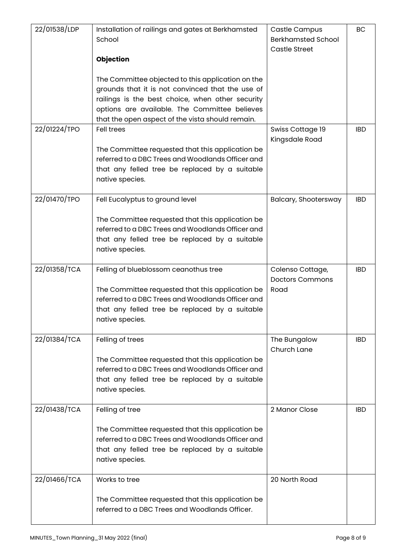| 22/01538/LDP | Installation of railings and gates at Berkhamsted<br>School<br><b>Objection</b><br>The Committee objected to this application on the<br>grounds that it is not convinced that the use of<br>railings is the best choice, when other security<br>options are available. The Committee believes | Castle Campus<br><b>Berkhamsted School</b><br><b>Castle Street</b> | BC         |
|--------------|-----------------------------------------------------------------------------------------------------------------------------------------------------------------------------------------------------------------------------------------------------------------------------------------------|--------------------------------------------------------------------|------------|
|              | that the open aspect of the vista should remain.                                                                                                                                                                                                                                              |                                                                    |            |
| 22/01224/TPO | <b>Fell trees</b><br>The Committee requested that this application be<br>referred to a DBC Trees and Woodlands Officer and<br>that any felled tree be replaced by a suitable<br>native species.                                                                                               | Swiss Cottage 19<br>Kingsdale Road                                 | <b>IBD</b> |
| 22/01470/TPO | Fell Eucalyptus to ground level                                                                                                                                                                                                                                                               | Balcary, Shootersway                                               | <b>IBD</b> |
|              | The Committee requested that this application be<br>referred to a DBC Trees and Woodlands Officer and<br>that any felled tree be replaced by a suitable<br>native species.                                                                                                                    |                                                                    |            |
| 22/01358/TCA | Felling of blueblossom ceanothus tree<br>The Committee requested that this application be<br>referred to a DBC Trees and Woodlands Officer and<br>that any felled tree be replaced by a suitable<br>native species.                                                                           | Colenso Cottage,<br><b>Doctors Commons</b><br>Road                 | <b>IBD</b> |
| 22/01384/TCA | Felling of trees<br>The Committee requested that this application be<br>referred to a DBC Trees and Woodlands Officer and<br>that any felled tree be replaced by a suitable<br>native species.                                                                                                | The Bungalow<br>Church Lane                                        | <b>IBD</b> |
| 22/01438/TCA | Felling of tree<br>The Committee requested that this application be<br>referred to a DBC Trees and Woodlands Officer and<br>that any felled tree be replaced by a suitable<br>native species.                                                                                                 | 2 Manor Close                                                      | <b>IBD</b> |
| 22/01466/TCA | Works to tree<br>The Committee requested that this application be<br>referred to a DBC Trees and Woodlands Officer.                                                                                                                                                                           | 20 North Road                                                      |            |